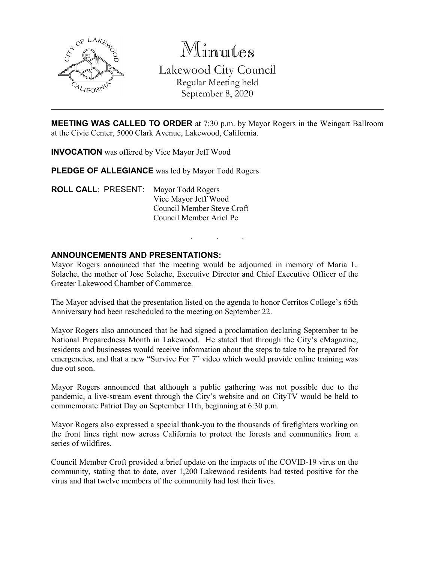

Minutes Lakewood City Council Regular Meeting held September 8, 2020

**MEETING WAS CALLED TO ORDER** at 7:30 p.m. by Mayor Rogers in the Weingart Ballroom at the Civic Center, 5000 Clark Avenue, Lakewood, California.

**INVOCATION** was offered by Vice Mayor Jeff Wood

**PLEDGE OF ALLEGIANCE** was led by Mayor Todd Rogers

**ROLL CALL**: PRESENT: Mayor Todd Rogers Vice Mayor Jeff Wood Council Member Steve Croft Council Member Ariel Pe

### **ANNOUNCEMENTS AND PRESENTATIONS:**

Mayor Rogers announced that the meeting would be adjourned in memory of Maria L. Solache, the mother of Jose Solache, Executive Director and Chief Executive Officer of the Greater Lakewood Chamber of Commerce.

. . .

The Mayor advised that the presentation listed on the agenda to honor Cerritos College's 65th Anniversary had been rescheduled to the meeting on September 22.

Mayor Rogers also announced that he had signed a proclamation declaring September to be National Preparedness Month in Lakewood. He stated that through the City's eMagazine, residents and businesses would receive information about the steps to take to be prepared for emergencies, and that a new "Survive For 7" video which would provide online training was due out soon.

Mayor Rogers announced that although a public gathering was not possible due to the pandemic, a live-stream event through the City's website and on CityTV would be held to commemorate Patriot Day on September 11th, beginning at 6:30 p.m.

Mayor Rogers also expressed a special thank-you to the thousands of firefighters working on the front lines right now across California to protect the forests and communities from a series of wildfires.

Council Member Croft provided a brief update on the impacts of the COVID-19 virus on the community, stating that to date, over 1,200 Lakewood residents had tested positive for the virus and that twelve members of the community had lost their lives.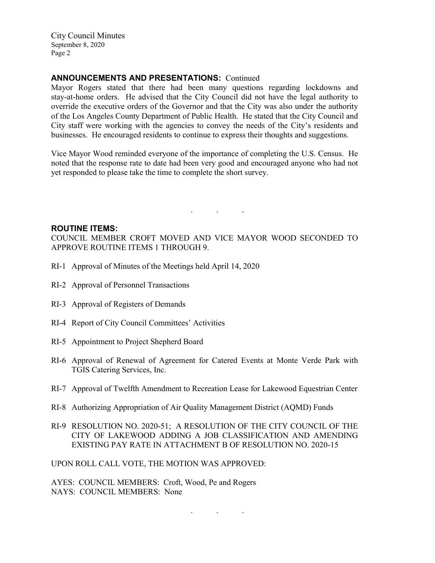### **ANNOUNCEMENTS AND PRESENTATIONS:** Continued

Mayor Rogers stated that there had been many questions regarding lockdowns and stay-at-home orders. He advised that the City Council did not have the legal authority to override the executive orders of the Governor and that the City was also under the authority of the Los Angeles County Department of Public Health. He stated that the City Council and City staff were working with the agencies to convey the needs of the City's residents and businesses. He encouraged residents to continue to express their thoughts and suggestions.

Vice Mayor Wood reminded everyone of the importance of completing the U.S. Census. He noted that the response rate to date had been very good and encouraged anyone who had not yet responded to please take the time to complete the short survey.

#### **ROUTINE ITEMS:**

COUNCIL MEMBER CROFT MOVED AND VICE MAYOR WOOD SECONDED TO APPROVE ROUTINE ITEMS 1 THROUGH 9.

. . .

- RI-1 Approval of Minutes of the Meetings held April 14, 2020
- RI-2 Approval of Personnel Transactions
- RI-3 Approval of Registers of Demands
- RI-4 Report of City Council Committees' Activities
- RI-5 Appointment to Project Shepherd Board
- RI-6 Approval of Renewal of Agreement for Catered Events at Monte Verde Park with TGIS Catering Services, Inc.
- RI-7 Approval of Twelfth Amendment to Recreation Lease for Lakewood Equestrian Center
- RI-8 Authorizing Appropriation of Air Quality Management District (AQMD) Funds
- RI-9 RESOLUTION NO. 2020-51; A RESOLUTION OF THE CITY COUNCIL OF THE CITY OF LAKEWOOD ADDING A JOB CLASSIFICATION AND AMENDING EXISTING PAY RATE IN ATTACHMENT B OF RESOLUTION NO. 2020-15

UPON ROLL CALL VOTE, THE MOTION WAS APPROVED:

AYES: COUNCIL MEMBERS: Croft, Wood, Pe and Rogers NAYS: COUNCIL MEMBERS: None

. . .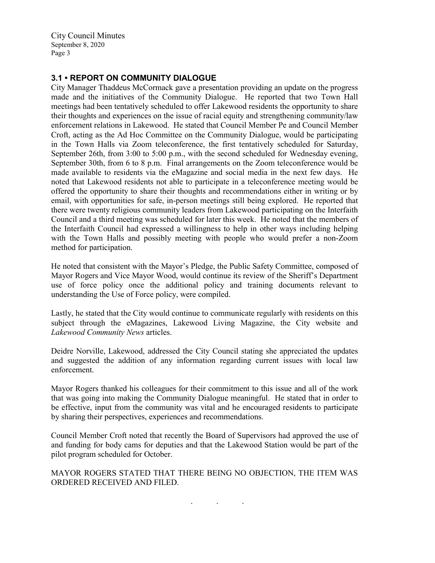### **3.1 • REPORT ON COMMUNITY DIALOGUE**

City Manager Thaddeus McCormack gave a presentation providing an update on the progress made and the initiatives of the Community Dialogue. He reported that two Town Hall meetings had been tentatively scheduled to offer Lakewood residents the opportunity to share their thoughts and experiences on the issue of racial equity and strengthening community/law enforcement relations in Lakewood. He stated that Council Member Pe and Council Member Croft, acting as the Ad Hoc Committee on the Community Dialogue, would be participating in the Town Halls via Zoom teleconference, the first tentatively scheduled for Saturday, September 26th, from 3:00 to 5:00 p.m., with the second scheduled for Wednesday evening, September 30th, from 6 to 8 p.m. Final arrangements on the Zoom teleconference would be made available to residents via the eMagazine and social media in the next few days. He noted that Lakewood residents not able to participate in a teleconference meeting would be offered the opportunity to share their thoughts and recommendations either in writing or by email, with opportunities for safe, in-person meetings still being explored. He reported that there were twenty religious community leaders from Lakewood participating on the Interfaith Council and a third meeting was scheduled for later this week. He noted that the members of the Interfaith Council had expressed a willingness to help in other ways including helping with the Town Halls and possibly meeting with people who would prefer a non-Zoom method for participation.

He noted that consistent with the Mayor's Pledge, the Public Safety Committee, composed of Mayor Rogers and Vice Mayor Wood, would continue its review of the Sheriff's Department use of force policy once the additional policy and training documents relevant to understanding the Use of Force policy, were compiled.

Lastly, he stated that the City would continue to communicate regularly with residents on this subject through the eMagazines, Lakewood Living Magazine, the City website and *Lakewood Community News* articles.

Deidre Norville, Lakewood, addressed the City Council stating she appreciated the updates and suggested the addition of any information regarding current issues with local law enforcement.

Mayor Rogers thanked his colleagues for their commitment to this issue and all of the work that was going into making the Community Dialogue meaningful. He stated that in order to be effective, input from the community was vital and he encouraged residents to participate by sharing their perspectives, experiences and recommendations.

Council Member Croft noted that recently the Board of Supervisors had approved the use of and funding for body cams for deputies and that the Lakewood Station would be part of the pilot program scheduled for October.

MAYOR ROGERS STATED THAT THERE BEING NO OBJECTION, THE ITEM WAS ORDERED RECEIVED AND FILED.

. . .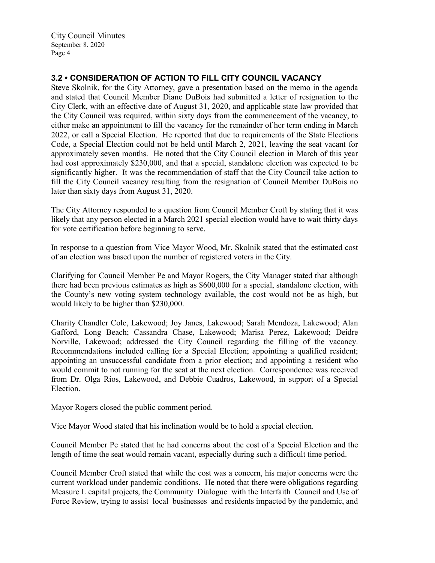# **3.2 • CONSIDERATION OF ACTION TO FILL CITY COUNCIL VACANCY**

Steve Skolnik, for the City Attorney, gave a presentation based on the memo in the agenda and stated that Council Member Diane DuBois had submitted a letter of resignation to the City Clerk, with an effective date of August 31, 2020, and applicable state law provided that the City Council was required, within sixty days from the commencement of the vacancy, to either make an appointment to fill the vacancy for the remainder of her term ending in March 2022, or call a Special Election. He reported that due to requirements of the State Elections Code, a Special Election could not be held until March 2, 2021, leaving the seat vacant for approximately seven months. He noted that the City Council election in March of this year had cost approximately \$230,000, and that a special, standalone election was expected to be significantly higher. It was the recommendation of staff that the City Council take action to fill the City Council vacancy resulting from the resignation of Council Member DuBois no later than sixty days from August 31, 2020.

The City Attorney responded to a question from Council Member Croft by stating that it was likely that any person elected in a March 2021 special election would have to wait thirty days for vote certification before beginning to serve.

In response to a question from Vice Mayor Wood, Mr. Skolnik stated that the estimated cost of an election was based upon the number of registered voters in the City.

Clarifying for Council Member Pe and Mayor Rogers, the City Manager stated that although there had been previous estimates as high as \$600,000 for a special, standalone election, with the County's new voting system technology available, the cost would not be as high, but would likely to be higher than \$230,000.

Charity Chandler Cole, Lakewood; Joy Janes, Lakewood; Sarah Mendoza, Lakewood; Alan Gafford, Long Beach; Cassandra Chase, Lakewood; Marisa Perez, Lakewood; Deidre Norville, Lakewood; addressed the City Council regarding the filling of the vacancy. Recommendations included calling for a Special Election; appointing a qualified resident; appointing an unsuccessful candidate from a prior election; and appointing a resident who would commit to not running for the seat at the next election. Correspondence was received from Dr. Olga Rios, Lakewood, and Debbie Cuadros, Lakewood, in support of a Special Election.

Mayor Rogers closed the public comment period.

Vice Mayor Wood stated that his inclination would be to hold a special election.

Council Member Pe stated that he had concerns about the cost of a Special Election and the length of time the seat would remain vacant, especially during such a difficult time period.

Council Member Croft stated that while the cost was a concern, his major concerns were the current workload under pandemic conditions. He noted that there were obligations regarding Measure L capital projects, the Community Dialogue with the Interfaith Council and Use of Force Review, trying to assist local businesses and residents impacted by the pandemic, and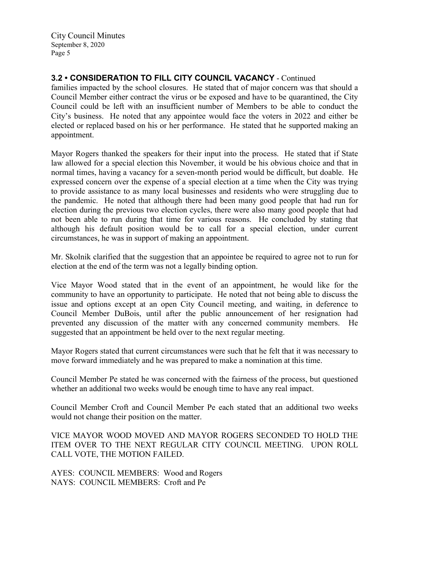# **3.2 • CONSIDERATION TO FILL CITY COUNCIL VACANCY** - Continued

families impacted by the school closures. He stated that of major concern was that should a Council Member either contract the virus or be exposed and have to be quarantined, the City Council could be left with an insufficient number of Members to be able to conduct the City's business. He noted that any appointee would face the voters in 2022 and either be elected or replaced based on his or her performance. He stated that he supported making an appointment.

Mayor Rogers thanked the speakers for their input into the process. He stated that if State law allowed for a special election this November, it would be his obvious choice and that in normal times, having a vacancy for a seven-month period would be difficult, but doable. He expressed concern over the expense of a special election at a time when the City was trying to provide assistance to as many local businesses and residents who were struggling due to the pandemic. He noted that although there had been many good people that had run for election during the previous two election cycles, there were also many good people that had not been able to run during that time for various reasons. He concluded by stating that although his default position would be to call for a special election, under current circumstances, he was in support of making an appointment.

Mr. Skolnik clarified that the suggestion that an appointee be required to agree not to run for election at the end of the term was not a legally binding option.

Vice Mayor Wood stated that in the event of an appointment, he would like for the community to have an opportunity to participate. He noted that not being able to discuss the issue and options except at an open City Council meeting, and waiting, in deference to Council Member DuBois, until after the public announcement of her resignation had prevented any discussion of the matter with any concerned community members. He suggested that an appointment be held over to the next regular meeting.

Mayor Rogers stated that current circumstances were such that he felt that it was necessary to move forward immediately and he was prepared to make a nomination at this time.

Council Member Pe stated he was concerned with the fairness of the process, but questioned whether an additional two weeks would be enough time to have any real impact.

Council Member Croft and Council Member Pe each stated that an additional two weeks would not change their position on the matter.

VICE MAYOR WOOD MOVED AND MAYOR ROGERS SECONDED TO HOLD THE ITEM OVER TO THE NEXT REGULAR CITY COUNCIL MEETING. UPON ROLL CALL VOTE, THE MOTION FAILED.

AYES: COUNCIL MEMBERS: Wood and Rogers NAYS: COUNCIL MEMBERS: Croft and Pe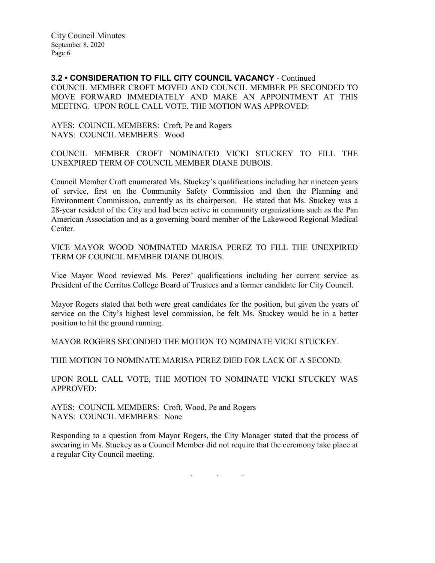**3.2 • CONSIDERATION TO FILL CITY COUNCIL VACANCY** - Continued COUNCIL MEMBER CROFT MOVED AND COUNCIL MEMBER PE SECONDED TO MOVE FORWARD IMMEDIATELY AND MAKE AN APPOINTMENT AT THIS MEETING. UPON ROLL CALL VOTE, THE MOTION WAS APPROVED:

AYES: COUNCIL MEMBERS: Croft, Pe and Rogers NAYS: COUNCIL MEMBERS: Wood

COUNCIL MEMBER CROFT NOMINATED VICKI STUCKEY TO FILL THE UNEXPIRED TERM OF COUNCIL MEMBER DIANE DUBOIS.

Council Member Croft enumerated Ms. Stuckey's qualifications including her nineteen years of service, first on the Community Safety Commission and then the Planning and Environment Commission, currently as its chairperson. He stated that Ms. Stuckey was a 28-year resident of the City and had been active in community organizations such as the Pan American Association and as a governing board member of the Lakewood Regional Medical Center.

VICE MAYOR WOOD NOMINATED MARISA PEREZ TO FILL THE UNEXPIRED TERM OF COUNCIL MEMBER DIANE DUBOIS.

Vice Mayor Wood reviewed Ms. Perez' qualifications including her current service as President of the Cerritos College Board of Trustees and a former candidate for City Council.

Mayor Rogers stated that both were great candidates for the position, but given the years of service on the City's highest level commission, he felt Ms. Stuckey would be in a better position to hit the ground running.

MAYOR ROGERS SECONDED THE MOTION TO NOMINATE VICKI STUCKEY.

THE MOTION TO NOMINATE MARISA PEREZ DIED FOR LACK OF A SECOND.

UPON ROLL CALL VOTE, THE MOTION TO NOMINATE VICKI STUCKEY WAS APPROVED:

AYES: COUNCIL MEMBERS: Croft, Wood, Pe and Rogers NAYS: COUNCIL MEMBERS: None

Responding to a question from Mayor Rogers, the City Manager stated that the process of swearing in Ms. Stuckey as a Council Member did not require that the ceremony take place at a regular City Council meeting.

. . .